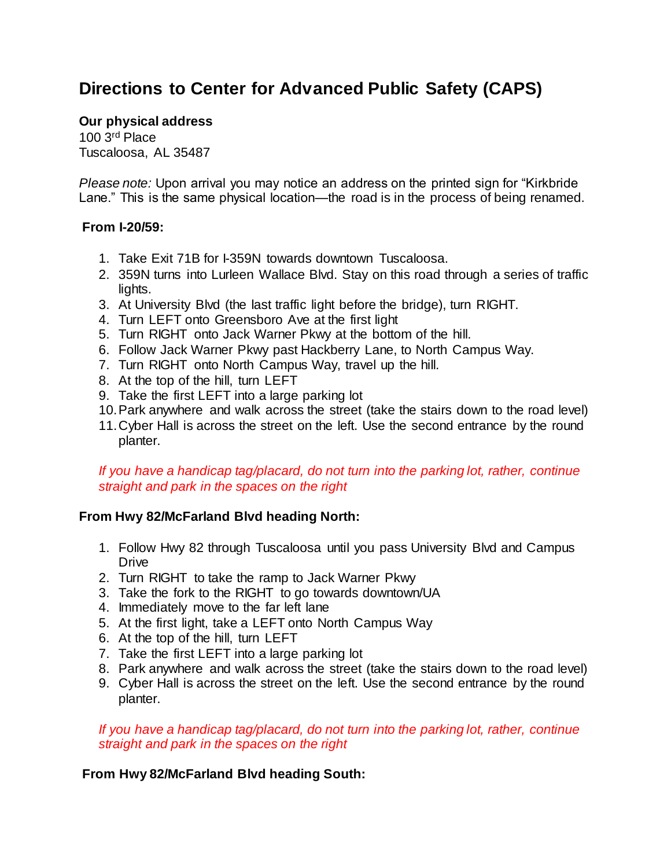# **Directions to Center for Advanced Public Safety (CAPS)**

### **Our physical address**

100 3rd Place Tuscaloosa, AL 35487

*Please note:* Upon arrival you may notice an address on the printed sign for "Kirkbride Lane." This is the same physical location—the road is in the process of being renamed.

### **From I-20/59:**

- 1. Take Exit 71B for I-359N towards downtown Tuscaloosa.
- 2. 359N turns into Lurleen Wallace Blvd. Stay on this road through a series of traffic lights.
- 3. At University Blvd (the last traffic light before the bridge), turn RIGHT.
- 4. Turn LEFT onto Greensboro Ave at the first light
- 5. Turn RIGHT onto Jack Warner Pkwy at the bottom of the hill.
- 6. Follow Jack Warner Pkwy past Hackberry Lane, to North Campus Way.
- 7. Turn RIGHT onto North Campus Way, travel up the hill.
- 8. At the top of the hill, turn LEFT
- 9. Take the first LEFT into a large parking lot
- 10.Park anywhere and walk across the street (take the stairs down to the road level)
- 11.Cyber Hall is across the street on the left. Use the second entrance by the round planter.

### *If you have a handicap tag/placard, do not turn into the parking lot, rather, continue straight and park in the spaces on the right*

# **From Hwy 82/McFarland Blvd heading North:**

- 1. Follow Hwy 82 through Tuscaloosa until you pass University Blvd and Campus Drive
- 2. Turn RIGHT to take the ramp to Jack Warner Pkwy
- 3. Take the fork to the RIGHT to go towards downtown/UA
- 4. Immediately move to the far left lane
- 5. At the first light, take a LEFT onto North Campus Way
- 6. At the top of the hill, turn LEFT
- 7. Take the first LEFT into a large parking lot
- 8. Park anywhere and walk across the street (take the stairs down to the road level)
- 9. Cyber Hall is across the street on the left. Use the second entrance by the round planter.

*If you have a handicap tag/placard, do not turn into the parking lot, rather, continue straight and park in the spaces on the right*

# **From Hwy 82/McFarland Blvd heading South:**